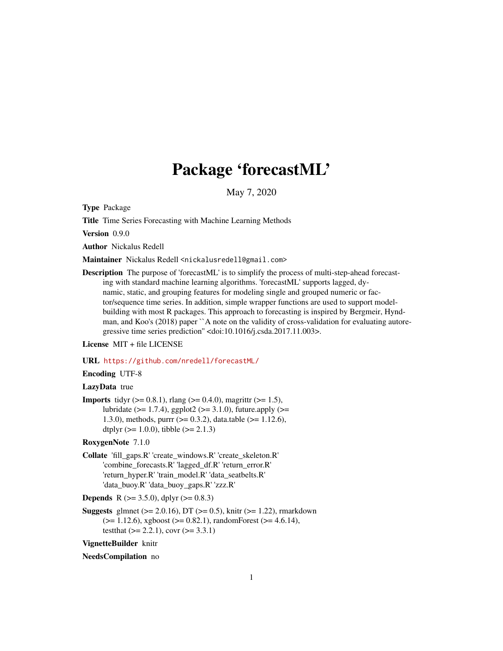# Package 'forecastML'

May 7, 2020

Type Package

Title Time Series Forecasting with Machine Learning Methods

Version 0.9.0

Author Nickalus Redell

Maintainer Nickalus Redell <nickalusredell@gmail.com>

Description The purpose of 'forecastML' is to simplify the process of multi-step-ahead forecasting with standard machine learning algorithms. 'forecastML' supports lagged, dynamic, static, and grouping features for modeling single and grouped numeric or factor/sequence time series. In addition, simple wrapper functions are used to support modelbuilding with most R packages. This approach to forecasting is inspired by Bergmeir, Hyndman, and Koo's (2018) paper ``A note on the validity of cross-validation for evaluating autoregressive time series prediction'' <doi:10.1016/j.csda.2017.11.003>.

License MIT + file LICENSE

URL <https://github.com/nredell/forecastML/>

# Encoding UTF-8

# LazyData true

**Imports** tidyr ( $> = 0.8.1$ ), rlang ( $> = 0.4.0$ ), magrittr ( $> = 1.5$ ), lubridate ( $>= 1.7.4$ ), ggplot2 ( $>= 3.1.0$ ), future.apply ( $>=$ 1.3.0), methods, purrr (>= 0.3.2), data.table (>= 1.12.6), dtplyr ( $>= 1.0.0$ ), tibble ( $>= 2.1.3$ )

#### RoxygenNote 7.1.0

Collate 'fill\_gaps.R' 'create\_windows.R' 'create\_skeleton.R' 'combine\_forecasts.R' 'lagged\_df.R' 'return\_error.R' 'return\_hyper.R' 'train\_model.R' 'data\_seatbelts.R' 'data\_buoy.R' 'data\_buoy\_gaps.R' 'zzz.R'

**Depends** R ( $>= 3.5.0$ ), dplyr ( $>= 0.8.3$ )

**Suggests** glmnet ( $>= 2.0.16$ ), DT ( $>= 0.5$ ), knitr ( $>= 1.22$ ), rmarkdown  $(>= 1.12.6)$ , xgboost  $(>= 0.82.1)$ , randomForest  $(>= 4.6.14)$ , testthat  $(>= 2.2.1)$ , covr  $(>= 3.3.1)$ 

VignetteBuilder knitr

#### NeedsCompilation no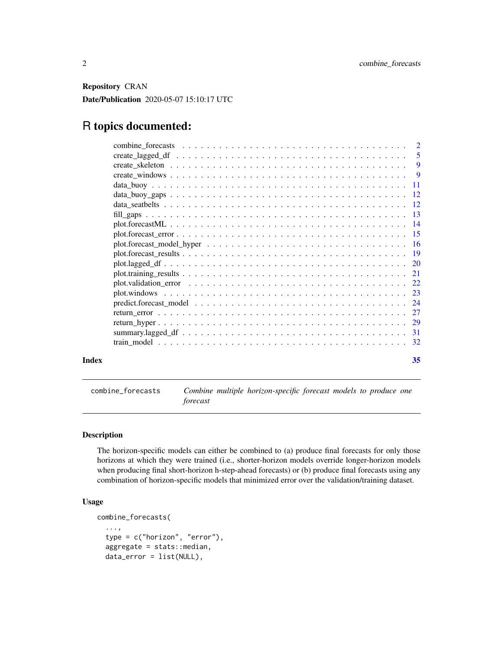<span id="page-1-0"></span>Repository CRAN Date/Publication 2020-05-07 15:10:17 UTC

# R topics documented:

| Index | 35 |
|-------|----|

combine\_forecasts *Combine multiple horizon-specific forecast models to produce one forecast*

# Description

The horizon-specific models can either be combined to (a) produce final forecasts for only those horizons at which they were trained (i.e., shorter-horizon models override longer-horizon models when producing final short-horizon h-step-ahead forecasts) or (b) produce final forecasts using any combination of horizon-specific models that minimized error over the validation/training dataset.

# Usage

```
combine_forecasts(
  ...,
  type = c("horizon", "error"),
  aggregate = stats::median,
  data_error = list(NULL),
```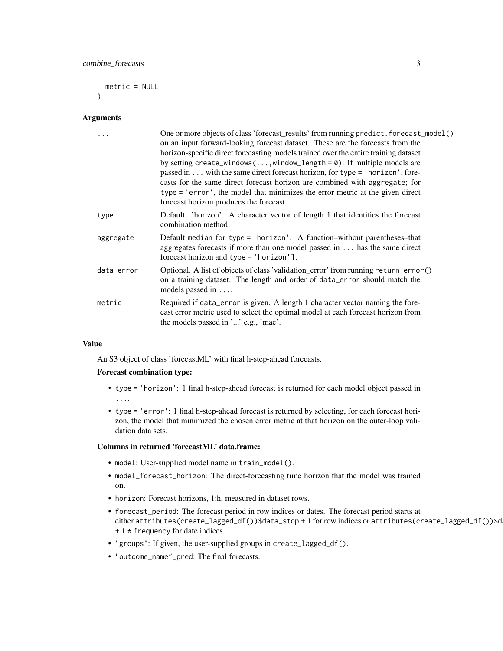combine\_forecasts 3

metric = NULL  $\lambda$ 

#### Arguments

|            | One or more objects of class 'forecast_results' from running predict. forecast_model()<br>on an input forward-looking forecast dataset. These are the forecasts from the<br>horizon-specific direct forecasting models trained over the entire training dataset<br>by setting create_windows(, window_length = $\theta$ ). If multiple models are<br>passed in  with the same direct forecast horizon, for type = 'horizon', fore-<br>casts for the same direct forecast horizon are combined with aggregate; for<br>type = 'error', the model that minimizes the error metric at the given direct<br>forecast horizon produces the forecast. |
|------------|-----------------------------------------------------------------------------------------------------------------------------------------------------------------------------------------------------------------------------------------------------------------------------------------------------------------------------------------------------------------------------------------------------------------------------------------------------------------------------------------------------------------------------------------------------------------------------------------------------------------------------------------------|
| type       | Default: 'horizon'. A character vector of length 1 that identifies the forecast<br>combination method.                                                                                                                                                                                                                                                                                                                                                                                                                                                                                                                                        |
| aggregate  | Default median for type = 'horizon'. A function-without parentheses-that<br>aggregates forecasts if more than one model passed in has the same direct<br>forecast horizon and type $=$ 'horizon'].                                                                                                                                                                                                                                                                                                                                                                                                                                            |
| data_error | Optional. A list of objects of class 'validation_error' from running return_error()<br>on a training dataset. The length and order of data_error should match the<br>models passed in                                                                                                                                                                                                                                                                                                                                                                                                                                                         |
| metric     | Required if data_error is given. A length 1 character vector naming the fore-<br>cast error metric used to select the optimal model at each forecast horizon from<br>the models passed in '' e.g., 'mae'.                                                                                                                                                                                                                                                                                                                                                                                                                                     |

# Value

An S3 object of class 'forecastML' with final h-step-ahead forecasts.

# Forecast combination type:

- type = 'horizon': 1 final h-step-ahead forecast is returned for each model object passed in ....
- type = 'error': 1 final h-step-ahead forecast is returned by selecting, for each forecast horizon, the model that minimized the chosen error metric at that horizon on the outer-loop validation data sets.

#### Columns in returned 'forecastML' data.frame:

- model: User-supplied model name in train\_model().
- model\_forecast\_horizon: The direct-forecasting time horizon that the model was trained on.
- horizon: Forecast horizons, 1:h, measured in dataset rows.
- forecast\_period: The forecast period in row indices or dates. The forecast period starts at either attributes(create\_lagged\_df())\$data\_stop + 1 for row indices or attributes(create\_lagged\_df())\$d + 1 \* frequency for date indices.
- "groups": If given, the user-supplied groups in create\_lagged\_df().
- "outcome\_name"\_pred: The final forecasts.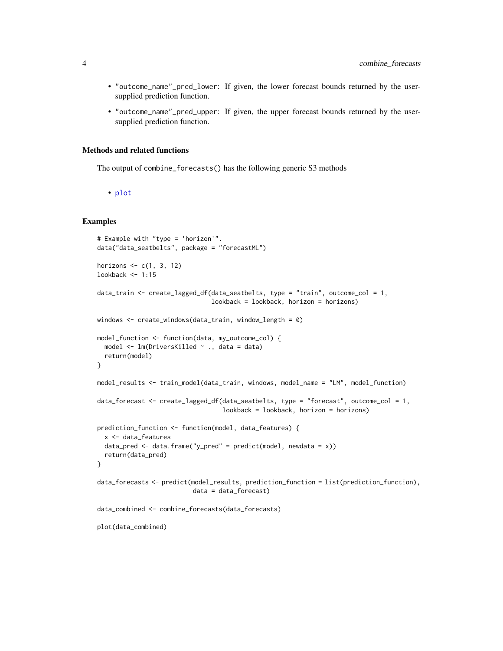- <span id="page-3-0"></span>• "outcome\_name"\_pred\_lower: If given, the lower forecast bounds returned by the usersupplied prediction function.
- "outcome\_name"\_pred\_upper: If given, the upper forecast bounds returned by the usersupplied prediction function.

## Methods and related functions

The output of combine\_forecasts() has the following generic S3 methods

• [plot](#page-13-1)

```
# Example with "type = 'horizon'".
data("data_seatbelts", package = "forecastML")
horizons \leq c(1, 3, 12)lookback <- 1:15
data_train <- create_lagged_df(data_seatbelts, type = "train", outcome_col = 1,
                               lookback = lookback, horizon = horizons)
windows <- create_windows(data_train, window_length = 0)
model_function <- function(data, my_outcome_col) {
 model <- lm(DriversKilled ~ ., data = data)
 return(model)
}
model_results <- train_model(data_train, windows, model_name = "LM", model_function)
data_forecast <- create_lagged_df(data_seatbelts, type = "forecast", outcome_col = 1,
                                  lookback = lookback, horizon = horizons)
prediction_function <- function(model, data_features) {
 x <- data_features
 data_pred <- data.frame("y_pred" = predict(model, newdata = x))
 return(data_pred)
}
data_forecasts <- predict(model_results, prediction_function = list(prediction_function),
                          data = data_forecast)
data_combined <- combine_forecasts(data_forecasts)
plot(data_combined)
```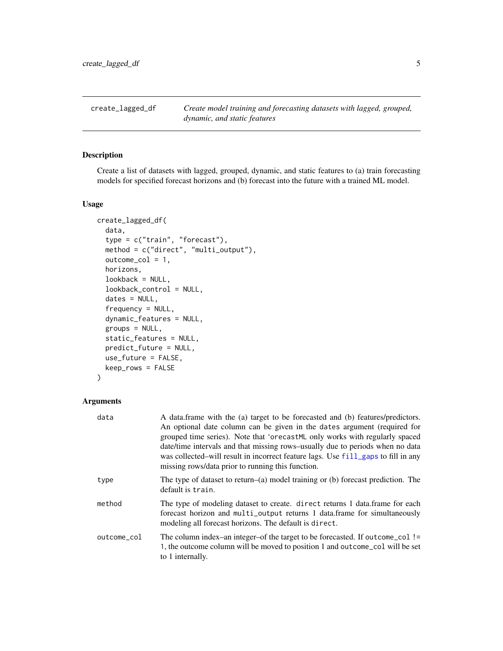<span id="page-4-1"></span><span id="page-4-0"></span>create\_lagged\_df *Create model training and forecasting datasets with lagged, grouped, dynamic, and static features*

# Description

Create a list of datasets with lagged, grouped, dynamic, and static features to (a) train forecasting models for specified forecast horizons and (b) forecast into the future with a trained ML model.

# Usage

```
create_lagged_df(
  data,
  type = c("train", "forecast"),
  method = c("direct", "multi_output"),
  outcome_col = 1,
  horizons,
  lookback = NULL,
  lookback_control = NULL,
  dates = NULL,
  frequency = NULL,
  dynamic_features = NULL,
  groups = NULL,
  static_features = NULL,
  predict_future = NULL,
  use_future = FALSE,
  keep_rows = FALSE
)
```
#### Arguments

| data        | A data frame with the (a) target to be forecasted and (b) features/predictors.<br>An optional date column can be given in the dates argument (required for<br>grouped time series). Note that 'orecastML only works with regularly spaced<br>date/time intervals and that missing rows-usually due to periods when no data<br>was collected-will result in incorrect feature lags. Use fill_gaps to fill in any<br>missing rows/data prior to running this function. |
|-------------|----------------------------------------------------------------------------------------------------------------------------------------------------------------------------------------------------------------------------------------------------------------------------------------------------------------------------------------------------------------------------------------------------------------------------------------------------------------------|
| type        | The type of dataset to return–(a) model training or (b) forecast prediction. The<br>default is train.                                                                                                                                                                                                                                                                                                                                                                |
| method      | The type of modeling dataset to create. direct returns 1 data. frame for each<br>forecast horizon and multi_output returns 1 data.frame for simultaneously<br>modeling all forecast horizons. The default is direct.                                                                                                                                                                                                                                                 |
| outcome_col | The column index–an integer–of the target to be forecasted. If outcome_col !=<br>1, the outcome column will be moved to position 1 and outcome col will be set<br>to 1 internally.                                                                                                                                                                                                                                                                                   |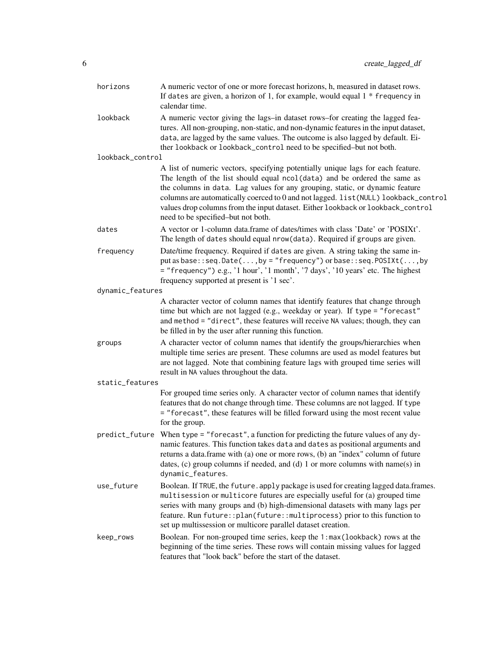| horizons         | A numeric vector of one or more forecast horizons, h, measured in dataset rows.<br>If dates are given, a horizon of 1, for example, would equal $1 *$ frequency in<br>calendar time.                                                                                                                                                                                                                                                                         |
|------------------|--------------------------------------------------------------------------------------------------------------------------------------------------------------------------------------------------------------------------------------------------------------------------------------------------------------------------------------------------------------------------------------------------------------------------------------------------------------|
| lookback         | A numeric vector giving the lags-in dataset rows-for creating the lagged fea-<br>tures. All non-grouping, non-static, and non-dynamic features in the input dataset,<br>data, are lagged by the same values. The outcome is also lagged by default. Ei-<br>ther lookback or lookback_control need to be specified-but not both.                                                                                                                              |
| lookback_control |                                                                                                                                                                                                                                                                                                                                                                                                                                                              |
|                  | A list of numeric vectors, specifying potentially unique lags for each feature.<br>The length of the list should equal ncol(data) and be ordered the same as<br>the columns in data. Lag values for any grouping, static, or dynamic feature<br>columns are automatically coerced to 0 and not lagged. list (NULL) lookback_control<br>values drop columns from the input dataset. Either lookback or lookback_control<br>need to be specified-but not both. |
| dates            | A vector or 1-column data.frame of dates/times with class 'Date' or 'POSIXt'.<br>The length of dates should equal nrow(data). Required if groups are given.                                                                                                                                                                                                                                                                                                  |
| frequency        | Date/time frequency. Required if dates are given. A string taking the same in-<br>put as base::seq.Date(,by = "frequency") or base::seq.POSIXt(,by<br>= "frequency") e.g., '1 hour', '1 month', '7 days', '10 years' etc. The highest<br>frequency supported at present is '1 sec'.                                                                                                                                                                          |
| dynamic_features |                                                                                                                                                                                                                                                                                                                                                                                                                                                              |
|                  | A character vector of column names that identify features that change through<br>time but which are not lagged (e.g., weekday or year). If type = "forecast"<br>and method = "direct", these features will receive NA values; though, they can<br>be filled in by the user after running this function.                                                                                                                                                      |
| groups           | A character vector of column names that identify the groups/hierarchies when<br>multiple time series are present. These columns are used as model features but<br>are not lagged. Note that combining feature lags with grouped time series will<br>result in NA values throughout the data.                                                                                                                                                                 |
| static_features  |                                                                                                                                                                                                                                                                                                                                                                                                                                                              |
|                  | For grouped time series only. A character vector of column names that identify<br>features that do not change through time. These columns are not lagged. If type<br>= "forecast", these features will be filled forward using the most recent value<br>for the group.                                                                                                                                                                                       |
|                  | predict_future When type = "forecast", a function for predicting the future values of any dy-<br>namic features. This function takes data and dates as positional arguments and<br>returns a data. frame with (a) one or more rows, (b) an "index" column of future<br>dates, (c) group columns if needed, and (d) 1 or more columns with name(s) in<br>dynamic_features.                                                                                    |
| use_future       | Boolean. If TRUE, the future. apply package is used for creating lagged data.frames.<br>multisession or multicore futures are especially useful for (a) grouped time<br>series with many groups and (b) high-dimensional datasets with many lags per<br>feature. Run future:: plan(future:: multiprocess) prior to this function to<br>set up multissession or multicore parallel dataset creation.                                                          |
| keep_rows        | Boolean. For non-grouped time series, keep the 1:max (lookback) rows at the<br>beginning of the time series. These rows will contain missing values for lagged<br>features that "look back" before the start of the dataset.                                                                                                                                                                                                                                 |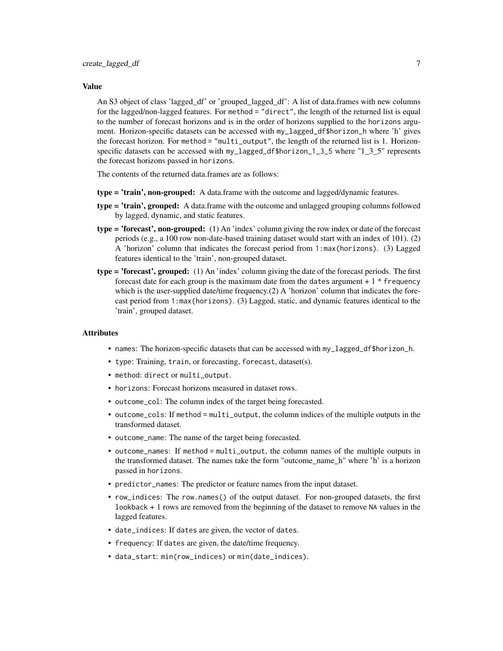#### Value

An S3 object of class 'lagged\_df' or 'grouped\_lagged\_df': A list of data.frames with new columns for the lagged/non-lagged features. For method = "direct", the length of the returned list is equal to the number of forecast horizons and is in the order of horizons supplied to the horizons argument. Horizon-specific datasets can be accessed with my\_lagged\_df\$horizon\_h where 'h' gives the forecast horizon. For method = "multi\_output", the length of the returned list is 1. Horizonspecific datasets can be accessed with my\_lagged\_df\$horizon\_1\_3\_5 where "1\_3\_5" represents the forecast horizons passed in horizons.

The contents of the returned data.frames are as follows:

- type = 'train', non-grouped: A data.frame with the outcome and lagged/dynamic features.
- type = 'train', grouped: A data.frame with the outcome and unlagged grouping columns followed by lagged, dynamic, and static features.
- type = 'forecast', non-grouped: (1) An 'index' column giving the row index or date of the forecast periods (e.g., a 100 row non-date-based training dataset would start with an index of 101). (2) A 'horizon' column that indicates the forecast period from 1:max(horizons). (3) Lagged features identical to the 'train', non-grouped dataset.
- $type = 'forecast'$ , grouped: (1) An 'index' column giving the date of the forecast periods. The first forecast date for each group is the maximum date from the dates argument  $+1$  \* frequency which is the user-supplied date/time frequency. $(2)$  A 'horizon' column that indicates the forecast period from 1:max(horizons). (3) Lagged, static, and dynamic features identical to the 'train', grouped dataset.

#### **Attributes**

- names: The horizon-specific datasets that can be accessed with my\_lagged\_df\$horizon\_h.
- type: Training, train, or forecasting, forecast, dataset(s).
- method: direct or multi\_output.
- horizons: Forecast horizons measured in dataset rows.
- outcome\_col: The column index of the target being forecasted.
- outcome\_cols: If method = multi\_output, the column indices of the multiple outputs in the transformed dataset.
- outcome\_name: The name of the target being forecasted.
- outcome\_names: If method = multi\_output, the column names of the multiple outputs in the transformed dataset. The names take the form "outcome\_name\_h" where 'h' is a horizon passed in horizons.
- predictor\_names: The predictor or feature names from the input dataset.
- row\_indices: The row.names() of the output dataset. For non-grouped datasets, the first lookback + 1 rows are removed from the beginning of the dataset to remove NA values in the lagged features.
- date\_indices: If dates are given, the vector of dates.
- frequency: If dates are given, the date/time frequency.
- data\_start: min(row\_indices) or min(date\_indices).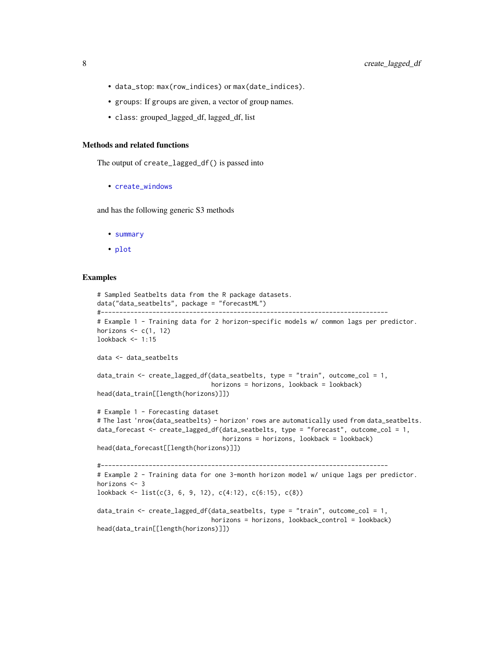- <span id="page-7-0"></span>• data\_stop: max(row\_indices) or max(date\_indices).
- groups: If groups are given, a vector of group names.
- class: grouped\_lagged\_df, lagged\_df, list

#### Methods and related functions

The output of create\_lagged\_df() is passed into

• [create\\_windows](#page-8-1)

and has the following generic S3 methods

- [summary](#page-30-1)
- [plot](#page-19-1)

```
# Sampled Seatbelts data from the R package datasets.
data("data_seatbelts", package = "forecastML")
#------------------------------------------------------------------------------
# Example 1 - Training data for 2 horizon-specific models w/ common lags per predictor.
horizons \leq c(1, 12)lookback <- 1:15
data <- data_seatbelts
data_train <- create_lagged_df(data_seatbelts, type = "train", outcome_col = 1,
                               horizons = horizons, lookback = lookback)
head(data_train[[length(horizons)]])
# Example 1 - Forecasting dataset
# The last 'nrow(data_seatbelts) - horizon' rows are automatically used from data_seatbelts.
data_forecast <- create_lagged_df(data_seatbelts, type = "forecast", outcome_col = 1,
                                  horizons = horizons, lookback = lookback)
head(data_forecast[[length(horizons)]])
#------------------------------------------------------------------------------
# Example 2 - Training data for one 3-month horizon model w/ unique lags per predictor.
horizons <- 3
lookback <- list(c(3, 6, 9, 12), c(4:12), c(6:15), c(8))
data_train <- create_lagged_df(data_seatbelts, type = "train", outcome_col = 1,
                               horizons = horizons, lookback_control = lookback)
head(data_train[[length(horizons)]])
```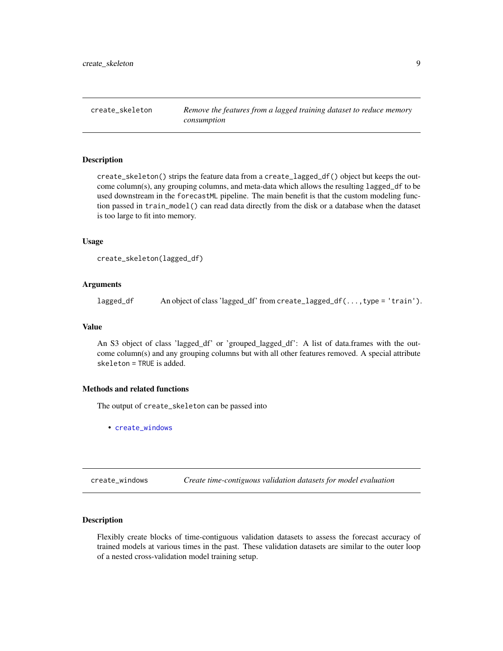<span id="page-8-0"></span>create\_skeleton *Remove the features from a lagged training dataset to reduce memory consumption*

#### Description

create\_skeleton() strips the feature data from a create\_lagged\_df() object but keeps the outcome column(s), any grouping columns, and meta-data which allows the resulting lagged\_df to be used downstream in the forecastML pipeline. The main benefit is that the custom modeling function passed in train\_model() can read data directly from the disk or a database when the dataset is too large to fit into memory.

#### Usage

```
create_skeleton(lagged_df)
```
#### Arguments

lagged\_df An object of class 'lagged\_df' from create\_lagged\_df(...,type = 'train').

#### Value

An S3 object of class 'lagged\_df' or 'grouped\_lagged\_df': A list of data.frames with the outcome column(s) and any grouping columns but with all other features removed. A special attribute skeleton = TRUE is added.

# Methods and related functions

The output of create\_skeleton can be passed into

• [create\\_windows](#page-8-1)

<span id="page-8-1"></span>create\_windows *Create time-contiguous validation datasets for model evaluation*

#### Description

Flexibly create blocks of time-contiguous validation datasets to assess the forecast accuracy of trained models at various times in the past. These validation datasets are similar to the outer loop of a nested cross-validation model training setup.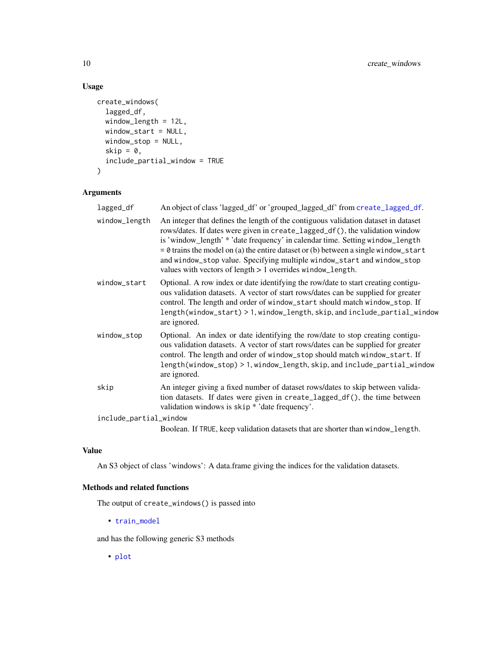# Usage

```
create_windows(
 lagged_df,
 window_length = 12L,
 window_start = NULL,
 window_stop = NULL,
 skip = 0,include_partial_window = TRUE
)
```
# Arguments

| lagged_df              | An object of class 'lagged_df' or 'grouped_lagged_df' from create_lagged_df.                                                                                                                                                                                                                                                                                                                                                                                                          |
|------------------------|---------------------------------------------------------------------------------------------------------------------------------------------------------------------------------------------------------------------------------------------------------------------------------------------------------------------------------------------------------------------------------------------------------------------------------------------------------------------------------------|
| window_length          | An integer that defines the length of the contiguous validation dataset in dataset<br>rows/dates. If dates were given in create_lagged_df(), the validation window<br>is 'window_length' * 'date frequency' in calendar time. Setting window_length<br>$= 0$ trains the model on (a) the entire dataset or (b) between a single window_start<br>and window_stop value. Specifying multiple window_start and window_stop<br>values with vectors of length > 1 overrides window_length. |
| window_start           | Optional. A row index or date identifying the row/date to start creating contigu-<br>ous validation datasets. A vector of start rows/dates can be supplied for greater<br>control. The length and order of window_start should match window_stop. If<br>length(window_start) > 1, window_length, skip, and include_partial_window<br>are ignored.                                                                                                                                     |
| window_stop            | Optional. An index or date identifying the row/date to stop creating contigu-<br>ous validation datasets. A vector of start rows/dates can be supplied for greater<br>control. The length and order of window_stop should match window_start. If<br>length(window_stop) > 1, window_length, skip, and include_partial_window<br>are ignored.                                                                                                                                          |
| skip                   | An integer giving a fixed number of dataset rows/dates to skip between valida-<br>tion datasets. If dates were given in create_lagged_df(), the time between<br>validation windows is skip * 'date frequency'.                                                                                                                                                                                                                                                                        |
| include_partial_window |                                                                                                                                                                                                                                                                                                                                                                                                                                                                                       |
|                        | Boolean. If TRUE, keep validation datasets that are shorter than window_length.                                                                                                                                                                                                                                                                                                                                                                                                       |

# Value

An S3 object of class 'windows': A data.frame giving the indices for the validation datasets.

# Methods and related functions

The output of create\_windows() is passed into

• [train\\_model](#page-31-1)

and has the following generic S3 methods

• [plot](#page-22-1)

<span id="page-9-0"></span>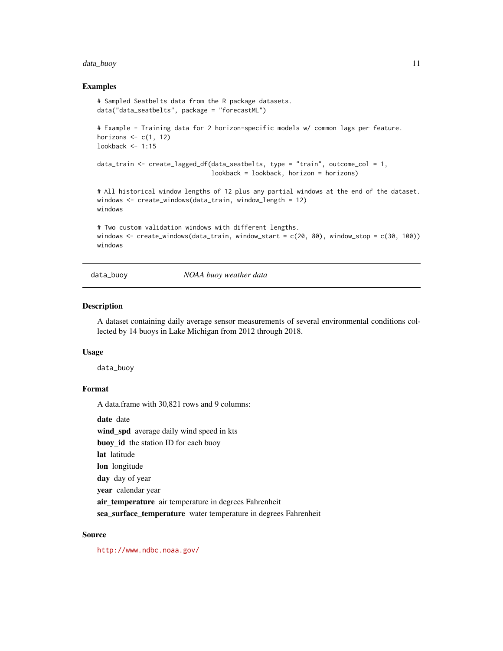# <span id="page-10-0"></span>data\_buoy 11

#### Examples

```
# Sampled Seatbelts data from the R package datasets.
data("data_seatbelts", package = "forecastML")
# Example - Training data for 2 horizon-specific models w/ common lags per feature.
horizons \leq c(1, 12)
lookback <- 1:15
data_train \le create_lagged_df(data_seatbelts, type = "train", outcome_col = 1,
                               lookback = lookback, horizon = horizons)
# All historical window lengths of 12 plus any partial windows at the end of the dataset.
windows <- create_windows(data_train, window_length = 12)
windows
# Two custom validation windows with different lengths.
windows \leq create_windows(data_train, window_start = c(20, 80), window_stop = c(30, 100))
windows
```
<span id="page-10-1"></span>data\_buoy *NOAA buoy weather data*

#### Description

A dataset containing daily average sensor measurements of several environmental conditions collected by 14 buoys in Lake Michigan from 2012 through 2018.

#### Usage

data\_buoy

# Format

A data.frame with 30,821 rows and 9 columns:

date date

wind\_spd average daily wind speed in kts

buoy\_id the station ID for each buoy

lat latitude

lon longitude

day day of year

year calendar year

air\_temperature air temperature in degrees Fahrenheit

sea\_surface\_temperature water temperature in degrees Fahrenheit

#### Source

<http://www.ndbc.noaa.gov/>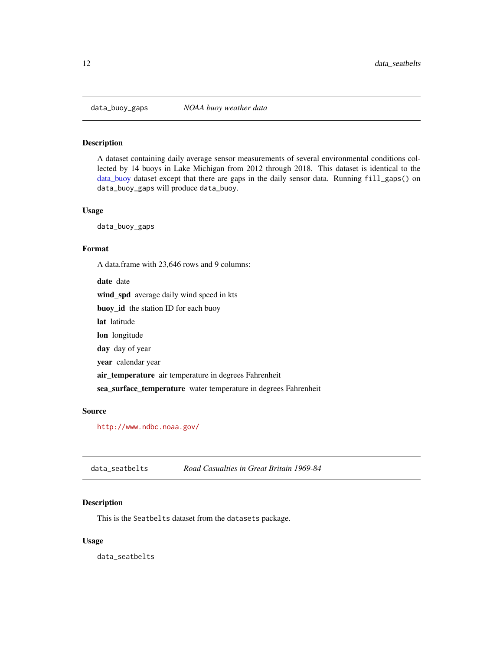<span id="page-11-0"></span>

#### Description

A dataset containing daily average sensor measurements of several environmental conditions collected by 14 buoys in Lake Michigan from 2012 through 2018. This dataset is identical to the [data\\_buoy](#page-10-1) dataset except that there are gaps in the daily sensor data. Running fill\_gaps() on data\_buoy\_gaps will produce data\_buoy.

#### Usage

data\_buoy\_gaps

# Format

A data.frame with 23,646 rows and 9 columns:

date date wind\_spd average daily wind speed in kts buoy\_id the station ID for each buoy lat latitude lon longitude day day of year year calendar year air\_temperature air temperature in degrees Fahrenheit sea\_surface\_temperature water temperature in degrees Fahrenheit

#### Source

<http://www.ndbc.noaa.gov/>

data\_seatbelts *Road Casualties in Great Britain 1969-84*

#### Description

This is the Seatbelts dataset from the datasets package.

#### Usage

data\_seatbelts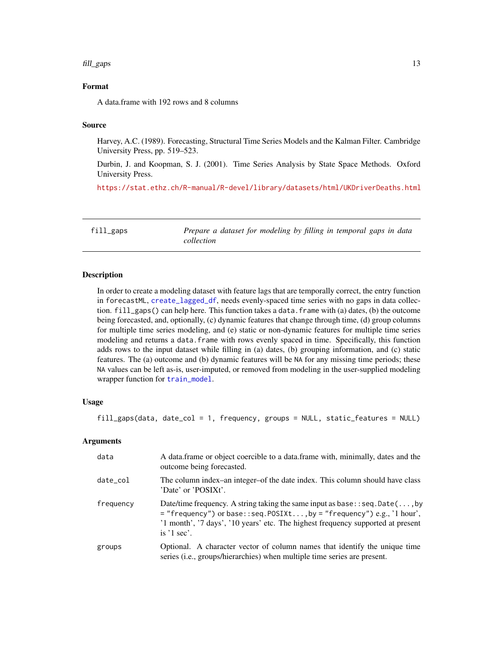#### <span id="page-12-0"></span>fill\_gaps 13

# Format

A data.frame with 192 rows and 8 columns

#### Source

Harvey, A.C. (1989). Forecasting, Structural Time Series Models and the Kalman Filter. Cambridge University Press, pp. 519–523.

Durbin, J. and Koopman, S. J. (2001). Time Series Analysis by State Space Methods. Oxford University Press.

<https://stat.ethz.ch/R-manual/R-devel/library/datasets/html/UKDriverDeaths.html>

<span id="page-12-1"></span>fill\_gaps *Prepare a dataset for modeling by filling in temporal gaps in data collection*

#### Description

In order to create a modeling dataset with feature lags that are temporally correct, the entry function in forecastML, [create\\_lagged\\_df](#page-4-1), needs evenly-spaced time series with no gaps in data collection. fill\_gaps() can help here. This function takes a data.frame with (a) dates, (b) the outcome being forecasted, and, optionally, (c) dynamic features that change through time, (d) group columns for multiple time series modeling, and (e) static or non-dynamic features for multiple time series modeling and returns a data.frame with rows evenly spaced in time. Specifically, this function adds rows to the input dataset while filling in (a) dates, (b) grouping information, and (c) static features. The (a) outcome and (b) dynamic features will be NA for any missing time periods; these NA values can be left as-is, user-imputed, or removed from modeling in the user-supplied modeling wrapper function for [train\\_model](#page-31-1).

# Usage

fill\_gaps(data, date\_col = 1, frequency, groups = NULL, static\_features = NULL)

#### Arguments

| data      | A data frame or object coercible to a data frame with, minimally, dates and the<br>outcome being forecasted.                                                                                                                                                         |
|-----------|----------------------------------------------------------------------------------------------------------------------------------------------------------------------------------------------------------------------------------------------------------------------|
| date_col  | The column index–an integer–of the date index. This column should have class<br>'Date' or 'POSIXt'.                                                                                                                                                                  |
| frequency | Date/time frequency. A string taking the same input as base: $:$ seq. Date(, by<br>$=$ "frequency") or base::seq.POSIXt, by = "frequency") e.g., '1 hour',<br>'1 month', '7 days', '10 years' etc. The highest frequency supported at present<br>is $\prime$ 1 sec'. |
| groups    | Optional. A character vector of column names that identify the unique time<br>series (i.e., groups/hierarchies) when multiple time series are present.                                                                                                               |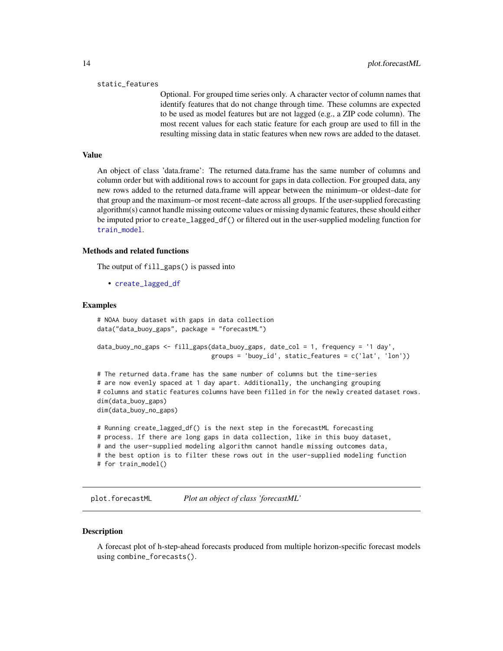#### <span id="page-13-0"></span>static\_features

Optional. For grouped time series only. A character vector of column names that identify features that do not change through time. These columns are expected to be used as model features but are not lagged (e.g., a ZIP code column). The most recent values for each static feature for each group are used to fill in the resulting missing data in static features when new rows are added to the dataset.

## Value

An object of class 'data.frame': The returned data.frame has the same number of columns and column order but with additional rows to account for gaps in data collection. For grouped data, any new rows added to the returned data.frame will appear between the minimum–or oldest–date for that group and the maximum–or most recent–date across all groups. If the user-supplied forecasting algorithm(s) cannot handle missing outcome values or missing dynamic features, these should either be imputed prior to create\_lagged\_df() or filtered out in the user-supplied modeling function for [train\\_model](#page-31-1).

#### Methods and related functions

The output of fill\_gaps() is passed into

• [create\\_lagged\\_df](#page-4-1)

#### Examples

```
# NOAA buoy dataset with gaps in data collection
data("data_buoy_gaps", package = "forecastML")
data_buoy_no_gaps <- fill_gaps(data_buoy_gaps, date_col = 1, frequency = '1 day',
                               groups = 'buoy_id', static_features = c('lat', 'lon'))
# The returned data.frame has the same number of columns but the time-series
```
# are now evenly spaced at 1 day apart. Additionally, the unchanging grouping # columns and static features columns have been filled in for the newly created dataset rows. dim(data\_buoy\_gaps)

dim(data\_buoy\_no\_gaps)

```
# Running create_lagged_df() is the next step in the forecastML forecasting
# process. If there are long gaps in data collection, like in this buoy dataset,
# and the user-supplied modeling algorithm cannot handle missing outcomes data,
# the best option is to filter these rows out in the user-supplied modeling function
# for train_model()
```
<span id="page-13-1"></span>plot.forecastML *Plot an object of class 'forecastML'*

#### **Description**

A forecast plot of h-step-ahead forecasts produced from multiple horizon-specific forecast models using combine\_forecasts().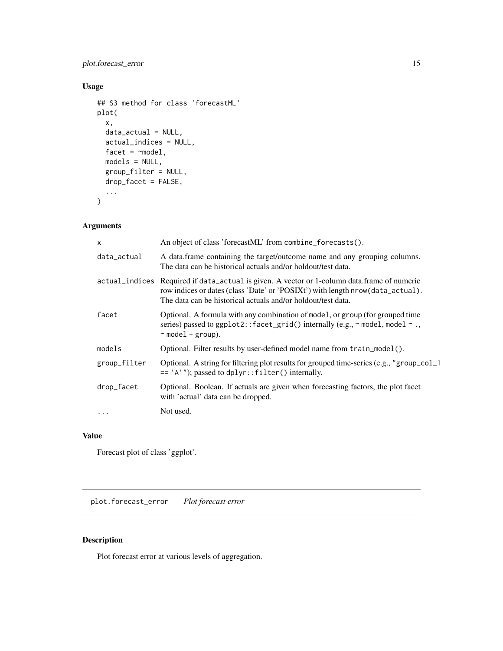# <span id="page-14-0"></span>plot.forecast\_error 15

# Usage

```
## S3 method for class 'forecastML'
plot(
 x,
 data_actual = NULL,
 actual_indices = NULL,
 facet = \simmodel,
 models = NULL,
 group_filter = NULL,
 drop_facet = FALSE,
  ...
)
```
# Arguments

| $\mathsf{x}$ | An object of class 'forecastML' from combine_forecasts().                                                                                                                                                                                      |
|--------------|------------------------------------------------------------------------------------------------------------------------------------------------------------------------------------------------------------------------------------------------|
| data_actual  | A data frame containing the target/outcome name and any grouping columns.<br>The data can be historical actuals and/or holdout/test data.                                                                                                      |
|              | actual_indices Required if data_actual is given. A vector or 1-column data.frame of numeric<br>row indices or dates (class 'Date' or 'POSIXt') with length nrow (data_actual).<br>The data can be historical actuals and/or holdout/test data. |
| facet        | Optional. A formula with any combination of model, or group (for grouped time<br>series) passed to ggplot2:: facet_grid() internally (e.g., $\sim$ model, model $\sim$ .,<br>$~\sim$ model + group).                                           |
| models       | Optional. Filter results by user-defined model name from train_model().                                                                                                                                                                        |
| group_filter | Optional. A string for filtering plot results for grouped time-series (e.g., "group_col_1<br>$= 'A'$ ; passed to dplyr::filter() internally.                                                                                                   |
| drop_facet   | Optional. Boolean. If actuals are given when forecasting factors, the plot facet<br>with 'actual' data can be dropped.                                                                                                                         |
| $\ddots$     | Not used.                                                                                                                                                                                                                                      |

# Value

Forecast plot of class 'ggplot'.

<span id="page-14-1"></span>plot.forecast\_error *Plot forecast error*

# Description

Plot forecast error at various levels of aggregation.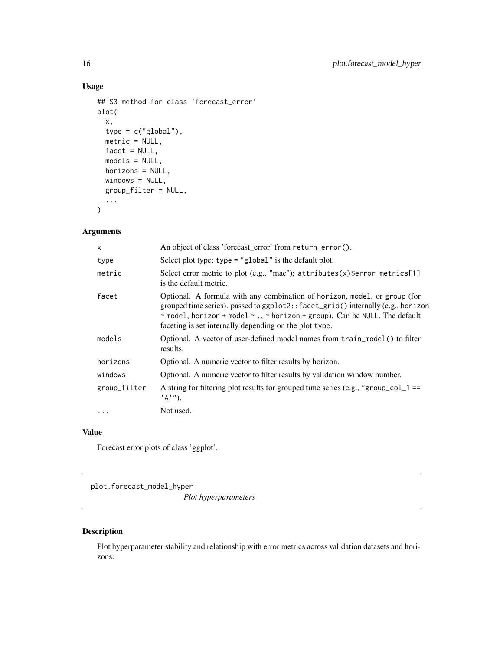# Usage

```
## S3 method for class 'forecast_error'
plot(
  x,
  type = c("global"),
  metric = NULL,
  facet = NULL,models = NULL,
  horizons = NULL,
  windows = NULL,
  group_filter = NULL,
  ...
\mathcal{L}
```
# Arguments

| $\times$     | An object of class 'forecast_error' from return_error().                                                                                                                                                                                                                                              |
|--------------|-------------------------------------------------------------------------------------------------------------------------------------------------------------------------------------------------------------------------------------------------------------------------------------------------------|
| type         | Select plot type; $type = "global"$ is the default plot.                                                                                                                                                                                                                                              |
| metric       | Select error metric to plot (e.g., "mae"); attributes(x)\$error_metrics[1]<br>is the default metric.                                                                                                                                                                                                  |
| facet        | Optional. A formula with any combination of horizon, model, or group (for<br>grouped time series). passed to ggplot2:: facet_grid() internally (e.g., horizon<br>~ model, horizon + model ~ ., ~ horizon + group). Can be NULL. The default<br>faceting is set internally depending on the plot type. |
| models       | Optional. A vector of user-defined model names from train_model() to filter<br>results.                                                                                                                                                                                                               |
| horizons     | Optional. A numeric vector to filter results by horizon.                                                                                                                                                                                                                                              |
| windows      | Optional. A numeric vector to filter results by validation window number.                                                                                                                                                                                                                             |
| group_filter | A string for filtering plot results for grouped time series (e.g., "group_col_1 ==<br>$'A$ '').                                                                                                                                                                                                       |
|              | Not used.                                                                                                                                                                                                                                                                                             |

# Value

Forecast error plots of class 'ggplot'.

<span id="page-15-1"></span>plot.forecast\_model\_hyper

*Plot hyperparameters*

# Description

Plot hyperparameter stability and relationship with error metrics across validation datasets and horizons.

<span id="page-15-0"></span>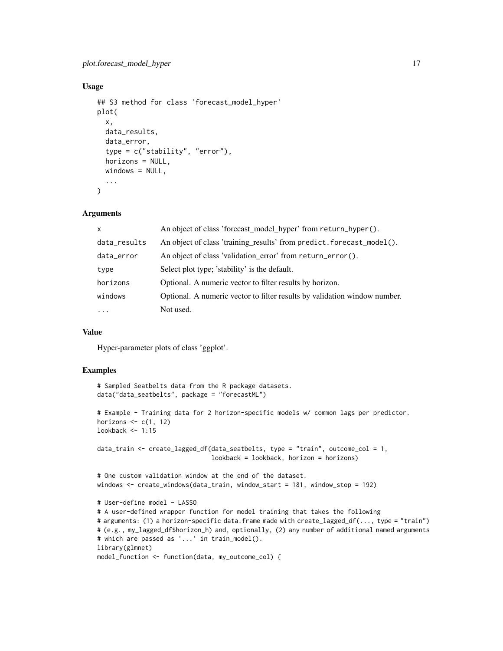# plot.forecast\_model\_hyper 17

#### Usage

```
## S3 method for class 'forecast_model_hyper'
plot(
  x,
  data_results,
  data_error,
  type = c("stability", "error"),
  horizons = NULL,
 windows = NULL,
  ...
)
```
#### Arguments

| $\mathsf{x}$ | An object of class 'forecast_model_hyper' from return_hyper().            |
|--------------|---------------------------------------------------------------------------|
| data_results | An object of class 'training_results' from predict.forecast_model().      |
| data_error   | An object of class 'validation_error' from return_error().                |
| type         | Select plot type; 'stability' is the default.                             |
| horizons     | Optional. A numeric vector to filter results by horizon.                  |
| windows      | Optional. A numeric vector to filter results by validation window number. |
| $\ddots$     | Not used.                                                                 |

#### Value

Hyper-parameter plots of class 'ggplot'.

```
# Sampled Seatbelts data from the R package datasets.
data("data_seatbelts", package = "forecastML")
# Example - Training data for 2 horizon-specific models w/ common lags per predictor.
horizons \leq c(1, 12)lookback <- 1:15
data_train \leq create_lagged_df(data_seatbelts, type = "train", outcome_col = 1,
                               lookback = lookback, horizon = horizons)
# One custom validation window at the end of the dataset.
windows <- create_windows(data_train, window_start = 181, window_stop = 192)
# User-define model - LASSO
# A user-defined wrapper function for model training that takes the following
# arguments: (1) a horizon-specific data.frame made with create_lagged_df(..., type = "train")
# (e.g., my_lagged_df$horizon_h) and, optionally, (2) any number of additional named arguments
# which are passed as '...' in train_model().
library(glmnet)
model_function <- function(data, my_outcome_col) {
```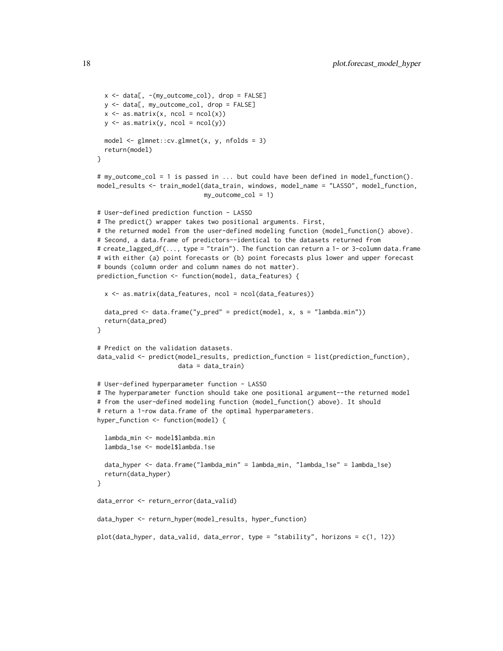```
x \le - data[, -(my\_outcome\_col), drop = FALSE]
 y <- data[, my_outcome_col, drop = FALSE]
 x \leftarrow as.matrix(x, ncol = ncol(x))y \leq -as.matrix(y, ncol = ncol(y))
 model <- glmnet::cv.glmnet(x, y, nfolds = 3)
 return(model)
}
# my_outcome_col = 1 is passed in ... but could have been defined in model_function().
model_results <- train_model(data_train, windows, model_name = "LASSO", model_function,
                             my_outcome_col = 1)
# User-defined prediction function - LASSO
# The predict() wrapper takes two positional arguments. First,
# the returned model from the user-defined modeling function (model_function() above).
# Second, a data.frame of predictors--identical to the datasets returned from
# create_lagged_df(..., type = "train"). The function can return a 1- or 3-column data.frame
# with either (a) point forecasts or (b) point forecasts plus lower and upper forecast
# bounds (column order and column names do not matter).
prediction_function <- function(model, data_features) {
 x \leq -as.matrix(data_features, ncol = ncol(data_features))
 data_pred <- data.frame("y_pred" = predict(model, x, s = "lambda.min"))
 return(data_pred)
}
# Predict on the validation datasets.
data_valid <- predict(model_results, prediction_function = list(prediction_function),
                      data = data_train)
# User-defined hyperparameter function - LASSO
# The hyperparameter function should take one positional argument--the returned model
# from the user-defined modeling function (model_function() above). It should
# return a 1-row data.frame of the optimal hyperparameters.
hyper_function <- function(model) {
 lambda_min <- model$lambda.min
 lambda_1se <- model$lambda.1se
 data_hyper <- data.frame("lambda_min" = lambda_min, "lambda_1se" = lambda_1se)
 return(data_hyper)
}
data_error <- return_error(data_valid)
data_hyper <- return_hyper(model_results, hyper_function)
plot(data_hyper, data_valid, data_error, type = "stability", horizons = c(1, 12))
```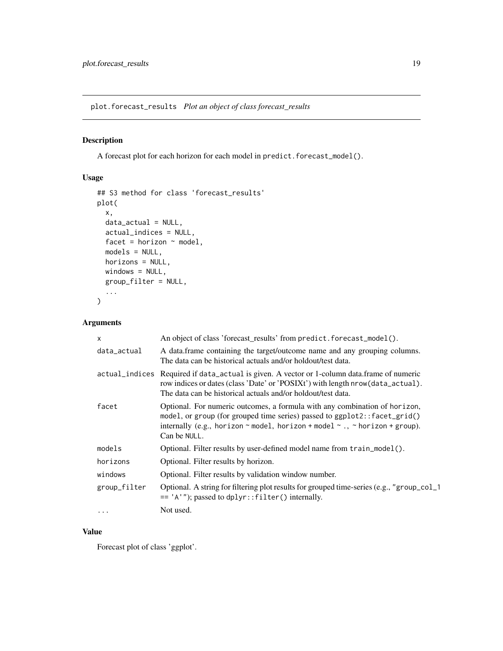<span id="page-18-1"></span><span id="page-18-0"></span>plot.forecast\_results *Plot an object of class forecast\_results*

# Description

A forecast plot for each horizon for each model in predict.forecast\_model().

# Usage

```
## S3 method for class 'forecast_results'
plot(
 x,
 data_actual = NULL,
 actual_indices = NULL,
 facet = horizon \sim model,
 models = NULL,
 horizons = NULL,
 windows = NULL,
 group_filter = NULL,
  ...
)
```
# Arguments

| $\mathsf{x}$ | An object of class 'forecast_results' from predict.forecast_model().                                                                                                                                                                                                   |
|--------------|------------------------------------------------------------------------------------------------------------------------------------------------------------------------------------------------------------------------------------------------------------------------|
| data_actual  | A data frame containing the target/outcome name and any grouping columns.<br>The data can be historical actuals and/or holdout/test data.                                                                                                                              |
|              | actual_indices Required if data_actual is given. A vector or 1-column data.frame of numeric<br>row indices or dates (class 'Date' or 'POSIXt') with length nrow (data_actual).<br>The data can be historical actuals and/or holdout/test data.                         |
| facet        | Optional. For numeric outcomes, a formula with any combination of horizon,<br>model, or group (for grouped time series) passed to ggplot2:: facet_grid()<br>internally (e.g., horizon $\sim$ model, horizon + model $\sim$ ., $\sim$ horizon + group).<br>Can be NULL. |
| models       | Optional. Filter results by user-defined model name from train_model().                                                                                                                                                                                                |
| horizons     | Optional. Filter results by horizon.                                                                                                                                                                                                                                   |
| windows      | Optional. Filter results by validation window number.                                                                                                                                                                                                                  |
| group_filter | Optional. A string for filtering plot results for grouped time-series (e.g., "group_col_1<br>$= 'A'$ ; passed to dplyr::filter() internally.                                                                                                                           |
| .            | Not used.                                                                                                                                                                                                                                                              |

# Value

Forecast plot of class 'ggplot'.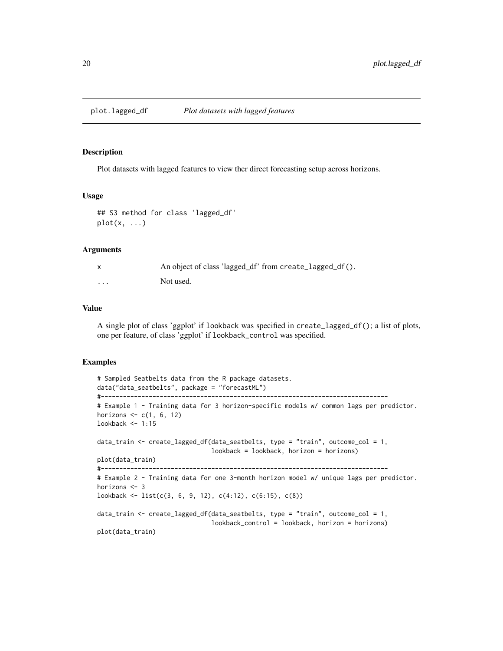<span id="page-19-1"></span><span id="page-19-0"></span>

#### Description

Plot datasets with lagged features to view ther direct forecasting setup across horizons.

#### Usage

```
## S3 method for class 'lagged_df'
plot(x, \ldots)
```
#### Arguments

|          | An object of class 'lagged_df' from create_lagged_df(). |
|----------|---------------------------------------------------------|
| $\cdots$ | Not used.                                               |

# Value

A single plot of class 'ggplot' if lookback was specified in create\_lagged\_df(); a list of plots, one per feature, of class 'ggplot' if lookback\_control was specified.

```
# Sampled Seatbelts data from the R package datasets.
data("data_seatbelts", package = "forecastML")
#------------------------------------------------------------------------------
# Example 1 - Training data for 3 horizon-specific models w/ common lags per predictor.
horizons \leq c(1, 6, 12)lookback <- 1:15
data_train <- create_lagged_df(data_seatbelts, type = "train", outcome_col = 1,
                               lookback = lookback, horizon = horizons)
plot(data_train)
#------------------------------------------------------------------------------
# Example 2 - Training data for one 3-month horizon model w/ unique lags per predictor.
horizons <- 3
lookback <- list(c(3, 6, 9, 12), c(4:12), c(6:15), c(8))
data_train <- create_lagged_df(data_seatbelts, type = "train", outcome_col = 1,
                               lookback_control = lookback, horizon = horizons)
plot(data_train)
```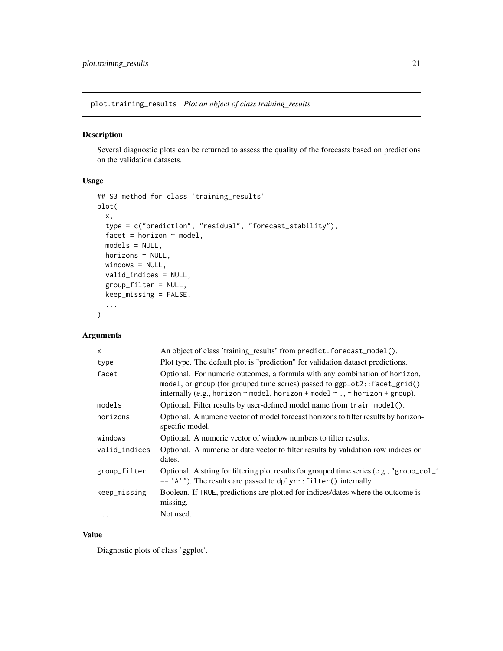<span id="page-20-1"></span><span id="page-20-0"></span>plot.training\_results *Plot an object of class training\_results*

# Description

Several diagnostic plots can be returned to assess the quality of the forecasts based on predictions on the validation datasets.

# Usage

```
## S3 method for class 'training_results'
plot(
  x,
  type = c("prediction", "residual", "forecast_stability"),
  facet = horizon \sim model,
 models = NULL,horizons = NULL,
 windows = NULL,
  valid_indices = NULL,
  group_filter = NULL,
 keep_missing = FALSE,
  ...
\mathcal{L}
```
# Arguments

| x             | An object of class 'training_results' from predict.forecast_model().                                                                                                                                                                                   |
|---------------|--------------------------------------------------------------------------------------------------------------------------------------------------------------------------------------------------------------------------------------------------------|
| type          | Plot type. The default plot is "prediction" for validation dataset predictions.                                                                                                                                                                        |
| facet         | Optional. For numeric outcomes, a formula with any combination of horizon,<br>model, or group (for grouped time series) passed to ggplot2:: facet_grid()<br>internally (e.g., horizon $\sim$ model, horizon + model $\sim$ ., $\sim$ horizon + group). |
| models        | Optional. Filter results by user-defined model name from train_model().                                                                                                                                                                                |
| horizons      | Optional. A numeric vector of model forecast horizons to filter results by horizon-<br>specific model.                                                                                                                                                 |
| windows       | Optional. A numeric vector of window numbers to filter results.                                                                                                                                                                                        |
| valid_indices | Optional. A numeric or date vector to filter results by validation row indices or<br>dates.                                                                                                                                                            |
| group_filter  | Optional. A string for filtering plot results for grouped time series (e.g., "group_col_1<br>$=$ 'A'"). The results are passed to dplyr:: filter() internally.                                                                                         |
| keep_missing  | Boolean. If TRUE, predictions are plotted for indices/dates where the outcome is<br>missing.                                                                                                                                                           |
| .             | Not used.                                                                                                                                                                                                                                              |

# Value

Diagnostic plots of class 'ggplot'.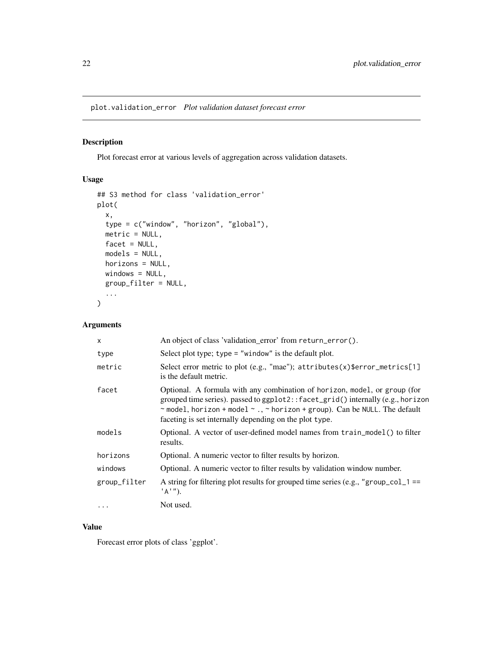<span id="page-21-1"></span><span id="page-21-0"></span>plot.validation\_error *Plot validation dataset forecast error*

# Description

Plot forecast error at various levels of aggregation across validation datasets.

# Usage

```
## S3 method for class 'validation_error'
plot(
 x,
  type = c("window", "horizon", "global"),
 metric = NULL,
 facet = NULL,models = NULL,
 horizons = NULL,
 windows = NULL,
 group_filter = NULL,
  ...
)
```
# Arguments

| $\mathsf{x}$ | An object of class 'validation_error' from return_error().                                                                                                                                                                                                                                                          |
|--------------|---------------------------------------------------------------------------------------------------------------------------------------------------------------------------------------------------------------------------------------------------------------------------------------------------------------------|
| type         | Select plot type; $type = "window"$ is the default plot.                                                                                                                                                                                                                                                            |
| metric       | Select error metric to plot (e.g., "mae"); attributes(x)\$error_metrics[1]<br>is the default metric.                                                                                                                                                                                                                |
| facet        | Optional. A formula with any combination of horizon, model, or group (for<br>grouped time series). passed to ggplot2::facet_grid() internally (e.g., horizon<br>$\sim$ model, horizon + model $\sim$ ., $\sim$ horizon + group). Can be NULL. The default<br>faceting is set internally depending on the plot type. |
| models       | Optional. A vector of user-defined model names from train_model() to filter<br>results.                                                                                                                                                                                                                             |
| horizons     | Optional. A numeric vector to filter results by horizon.                                                                                                                                                                                                                                                            |
| windows      | Optional. A numeric vector to filter results by validation window number.                                                                                                                                                                                                                                           |
| group_filter | A string for filtering plot results for grouped time series (e.g., "group_col_1 ==<br>$'A$ '').                                                                                                                                                                                                                     |
| $\cdots$     | Not used.                                                                                                                                                                                                                                                                                                           |

# Value

Forecast error plots of class 'ggplot'.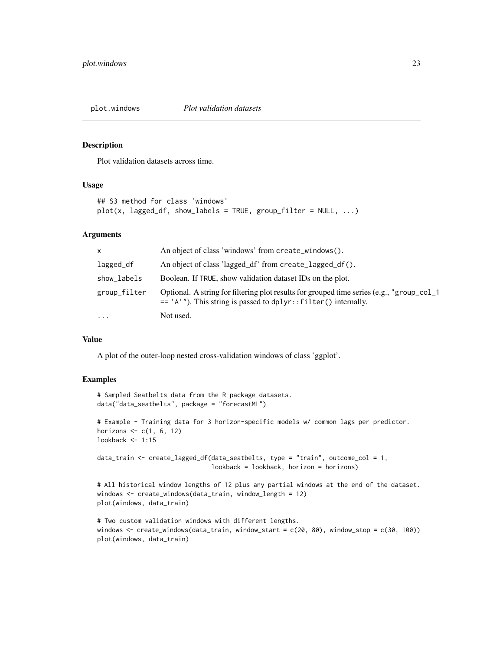<span id="page-22-1"></span><span id="page-22-0"></span>

# Description

Plot validation datasets across time.

# Usage

```
## S3 method for class 'windows'
plot(x, lagged_df, show_labels = TRUE, group_fitter = NULL, ...)
```
# Arguments

| $\mathsf{x}$ | An object of class 'windows' from create_windows().                                                                                                           |
|--------------|---------------------------------------------------------------------------------------------------------------------------------------------------------------|
| lagged_df    | An object of class 'lagged df' from create_lagged_df().                                                                                                       |
| show_labels  | Boolean. If TRUE, show validation dataset IDs on the plot.                                                                                                    |
| group_filter | Optional. A string for filtering plot results for grouped time series (e.g., "group_col_1<br>$=$ 'A'"). This string is passed to dplyr:: filter() internally. |
| $\cdot$      | Not used.                                                                                                                                                     |

#### Value

A plot of the outer-loop nested cross-validation windows of class 'ggplot'.

```
# Sampled Seatbelts data from the R package datasets.
data("data_seatbelts", package = "forecastML")
# Example - Training data for 3 horizon-specific models w/ common lags per predictor.
horizons \leq c(1, 6, 12)lookback \leq -1:15data_train <- create_lagged_df(data_seatbelts, type = "train", outcome_col = 1,
                               lookback = lookback, horizon = horizons)
# All historical window lengths of 12 plus any partial windows at the end of the dataset.
```

```
windows <- create_windows(data_train, window_length = 12)
plot(windows, data_train)
```

```
# Two custom validation windows with different lengths.
windows <- create_windows(data_train, window_start = c(20, 80), window_stop = c(30, 100))
plot(windows, data_train)
```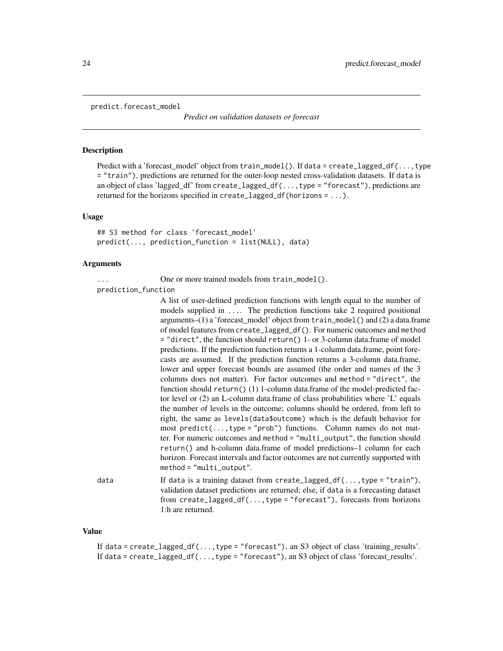```
predict.forecast_model
```
*Predict on validation datasets or forecast*

# Description

Predict with a 'forecast\_model' object from train\_model(). If data = create\_lagged\_df(...,type = "train"), predictions are returned for the outer-loop nested cross-validation datasets. If data is an object of class 'lagged\_df' from create\_lagged\_df(...,type = "forecast"), predictions are returned for the horizons specified in create\_lagged\_df(horizons = ...).

# Usage

```
## S3 method for class 'forecast model'
predict(..., prediction_function = list(NULL), data)
```
#### Arguments

... One or more trained models from train\_model().

prediction\_function

|      | A list of user-defined prediction functions with length equal to the number of<br>models supplied in  The prediction functions take 2 required positional<br>$arguments-(1)$ a 'forecast_model' object from $train_model()$ and (2) a data.frame<br>of model features from create_lagged_df(). For numeric outcomes and method<br>$=$ "direct", the function should return() 1- or 3-column data. frame of model<br>predictions. If the prediction function returns a 1-column data frame, point fore-<br>casts are assumed. If the prediction function returns a 3-column data.frame,<br>lower and upper forecast bounds are assumed (the order and names of the 3<br>columns does not matter). For factor outcomes and method = "direct", the<br>function should return() $(1)$ 1-column data.frame of the model-predicted fac-<br>tor level or $(2)$ an L-column data.frame of class probabilities where 'L' equals<br>the number of levels in the outcome; columns should be ordered, from left to<br>right, the same as levels (data \$000,000) which is the default behavior for<br>most $predict(, type = "prob")$ functions. Column names do not mat-<br>ter. For numeric outcomes and method = "multi_output", the function should<br>return() and h-column data.frame of model predictions–1 column for each<br>horizon. Forecast intervals and factor outcomes are not currently supported with |
|------|------------------------------------------------------------------------------------------------------------------------------------------------------------------------------------------------------------------------------------------------------------------------------------------------------------------------------------------------------------------------------------------------------------------------------------------------------------------------------------------------------------------------------------------------------------------------------------------------------------------------------------------------------------------------------------------------------------------------------------------------------------------------------------------------------------------------------------------------------------------------------------------------------------------------------------------------------------------------------------------------------------------------------------------------------------------------------------------------------------------------------------------------------------------------------------------------------------------------------------------------------------------------------------------------------------------------------------------------------------------------------------------------------------|
|      | $method = "multi-output".$                                                                                                                                                                                                                                                                                                                                                                                                                                                                                                                                                                                                                                                                                                                                                                                                                                                                                                                                                                                                                                                                                                                                                                                                                                                                                                                                                                                 |
| data | If data is a training dataset from create_lagged_df(, type = "train"),<br>rolidation detecet musdictions are returnedy also if doto is a foreceeting detecet.                                                                                                                                                                                                                                                                                                                                                                                                                                                                                                                                                                                                                                                                                                                                                                                                                                                                                                                                                                                                                                                                                                                                                                                                                                              |

validation dataset predictions are returned; else, if data is a forecasting dataset from create\_lagged\_df(...,type = "forecast"), forecasts from horizons 1:h are returned.

#### Value

If data = create\_lagged\_df(...,type = "forecast"), an S3 object of class 'training\_results'. If data =  $create\_lagged_dff(...,type = "forecast"),$  an S3 object of class 'forecast\_results'.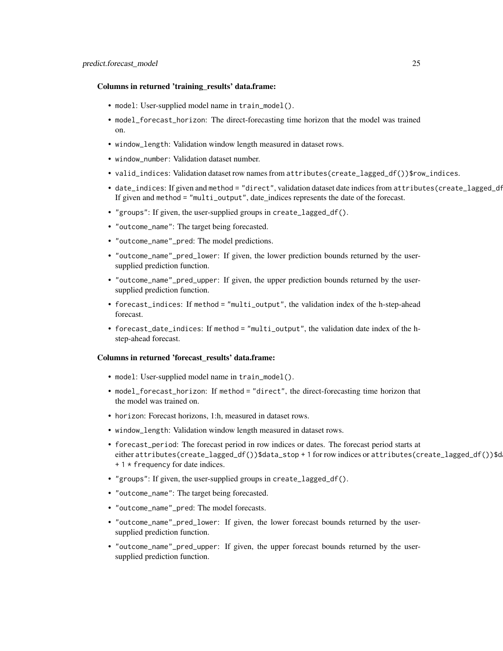#### Columns in returned 'training\_results' data.frame:

- model: User-supplied model name in train\_model().
- model\_forecast\_horizon: The direct-forecasting time horizon that the model was trained on.
- window\_length: Validation window length measured in dataset rows.
- window number: Validation dataset number.
- valid\_indices: Validation dataset row names from attributes(create\_lagged\_df())\$row\_indices.
- date\_indices: If given and method = "direct", validation dataset date indices from attributes(create\_lagged\_df If given and method = "multi\_output", date\_indices represents the date of the forecast.
- "groups": If given, the user-supplied groups in create\_lagged\_df().
- "outcome\_name": The target being forecasted.
- "outcome\_name"\_pred: The model predictions.
- "outcome\_name"\_pred\_lower: If given, the lower prediction bounds returned by the usersupplied prediction function.
- "outcome\_name"\_pred\_upper: If given, the upper prediction bounds returned by the usersupplied prediction function.
- forecast\_indices: If method = "multi\_output", the validation index of the h-step-ahead forecast.
- forecast\_date\_indices: If method = "multi\_output", the validation date index of the hstep-ahead forecast.

#### Columns in returned 'forecast\_results' data.frame:

- model: User-supplied model name in train\_model().
- model\_forecast\_horizon: If method = "direct", the direct-forecasting time horizon that the model was trained on.
- horizon: Forecast horizons, 1:h, measured in dataset rows.
- window\_length: Validation window length measured in dataset rows.
- forecast\_period: The forecast period in row indices or dates. The forecast period starts at either attributes(create\_lagged\_df())\$data\_stop + 1 for row indices or attributes(create\_lagged\_df())\$d + 1 \* frequency for date indices.
- "groups": If given, the user-supplied groups in create\_lagged\_df().
- "outcome\_name": The target being forecasted.
- "outcome\_name"\_pred: The model forecasts.
- "outcome\_name"\_pred\_lower: If given, the lower forecast bounds returned by the usersupplied prediction function.
- "outcome\_name"\_pred\_upper: If given, the upper forecast bounds returned by the usersupplied prediction function.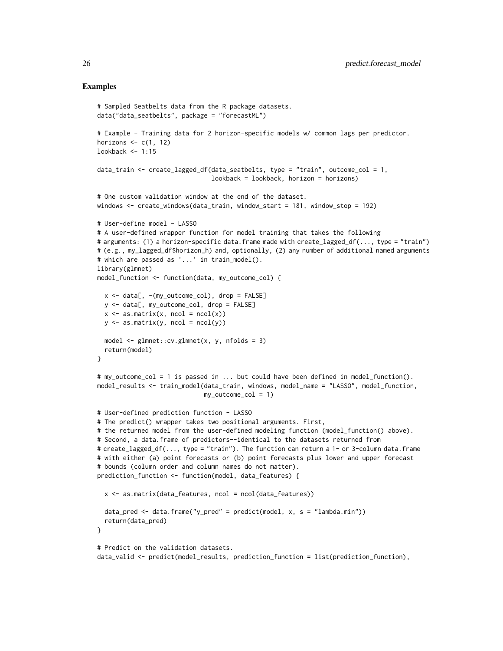```
# Sampled Seatbelts data from the R package datasets.
data("data_seatbelts", package = "forecastML")
# Example - Training data for 2 horizon-specific models w/ common lags per predictor.
horizons \leq c(1, 12)
lookback <- 1:15
data_train <- create_lagged_df(data_seatbelts, type = "train", outcome_col = 1,
                               lookback = lookback, horizon = horizons)
# One custom validation window at the end of the dataset.
windows <- create_windows(data_train, window_start = 181, window_stop = 192)
# User-define model - LASSO
# A user-defined wrapper function for model training that takes the following
# arguments: (1) a horizon-specific data.frame made with create_lagged_df(..., type = "train")
# (e.g., my_lagged_df$horizon_h) and, optionally, (2) any number of additional named arguments
# which are passed as '...' in train_model().
library(glmnet)
model_function <- function(data, my_outcome_col) {
 x \le - data[, -(my\_outcome\_col), drop = FALSE]
 y <- data[, my_outcome_col, drop = FALSE]
 x \leq -as.matrix(x, \text{ ncol} = \text{ncol}(x))y \leq -as.matrix(y, ncol = ncol(y))
 model \leq glmnet::cv.glmnet(x, y, nfolds = 3)
 return(model)
}
# my_outcome_col = 1 is passed in ... but could have been defined in model_function().
model_results <- train_model(data_train, windows, model_name = "LASSO", model_function,
                             my_outcome_col = 1)
# User-defined prediction function - LASSO
# The predict() wrapper takes two positional arguments. First,
# the returned model from the user-defined modeling function (model_function() above).
# Second, a data.frame of predictors--identical to the datasets returned from
# create_lagged_df(..., type = "train"). The function can return a 1- or 3-column data.frame
# with either (a) point forecasts or (b) point forecasts plus lower and upper forecast
# bounds (column order and column names do not matter).
prediction_function <- function(model, data_features) {
 x <- as.matrix(data_features, ncol = ncol(data_features))
 data_pred <- data.frame("y_pred" = predict(model, x, s = "lambda.min"))
 return(data_pred)
}
# Predict on the validation datasets.
data_valid <- predict(model_results, prediction_function = list(prediction_function),
```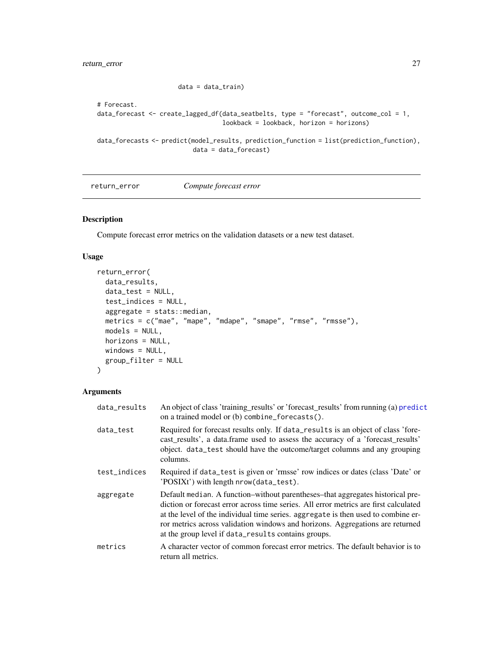data = data\_train)

```
# Forecast.
data_forecast <- create_lagged_df(data_seatbelts, type = "forecast", outcome_col = 1,
                                  lookback = lookback, horizon = horizons)
data_forecasts <- predict(model_results, prediction_function = list(prediction_function),
                          data = data_forecast)
```
<span id="page-26-1"></span>return\_error *Compute forecast error*

#### Description

Compute forecast error metrics on the validation datasets or a new test dataset.

#### Usage

```
return_error(
  data_results,
 data_test = NULL,
  test_indices = NULL,
  aggregate = stats::median,
  metrics = c("mae", "mape", "mdape", "smape", "rmse", "rmsse"),
 models = NULL,
 horizons = NULL,
 windows = NULL,
  group_filter = NULL
)
```
# Arguments

| data_results | An object of class 'training_results' or 'forecast_results' from running (a) predict<br>on a trained model or (b) combine_forecasts().                                                                                                                                                                                                                                                              |
|--------------|-----------------------------------------------------------------------------------------------------------------------------------------------------------------------------------------------------------------------------------------------------------------------------------------------------------------------------------------------------------------------------------------------------|
| data_test    | Required for forecast results only. If data_results is an object of class 'fore-<br>cast_results', a data.frame used to assess the accuracy of a 'forecast_results'<br>object. data_test should have the outcome/target columns and any grouping<br>columns.                                                                                                                                        |
| test_indices | Required if data_test is given or 'rmsse' row indices or dates (class 'Date' or<br>'POSIXt') with length nrow(data_test).                                                                                                                                                                                                                                                                           |
| aggregate    | Default median. A function-without parentheses-that aggregates historical pre-<br>diction or forecast error across time series. All error metrics are first calculated<br>at the level of the individual time series. aggregate is then used to combine er-<br>ror metrics across validation windows and horizons. Aggregations are returned<br>at the group level if data_results contains groups. |
| metrics      | A character vector of common forecast error metrics. The default behavior is to<br>return all metrics.                                                                                                                                                                                                                                                                                              |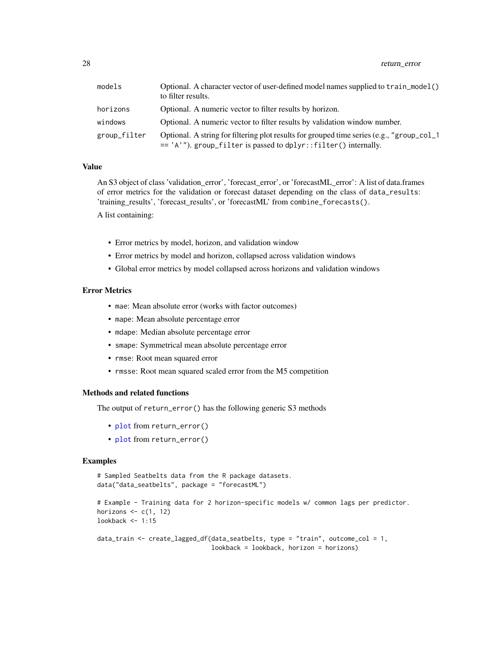<span id="page-27-0"></span>28 return\_error

| models       | Optional. A character vector of user-defined model names supplied to $train_model()$<br>to filter results.                                                   |
|--------------|--------------------------------------------------------------------------------------------------------------------------------------------------------------|
| horizons     | Optional. A numeric vector to filter results by horizon.                                                                                                     |
| windows      | Optional. A numeric vector to filter results by validation window number.                                                                                    |
| group_filter | Optional. A string for filtering plot results for grouped time series (e.g., "group_col_1<br>== 'A'"). group_filter is passed to dplyr::filter() internally. |

#### Value

An S3 object of class 'validation\_error', 'forecast\_error', or 'forecastML\_error': A list of data.frames of error metrics for the validation or forecast dataset depending on the class of data\_results: 'training\_results', 'forecast\_results', or 'forecastML' from combine\_forecasts().

A list containing:

- Error metrics by model, horizon, and validation window
- Error metrics by model and horizon, collapsed across validation windows
- Global error metrics by model collapsed across horizons and validation windows

#### Error Metrics

- mae: Mean absolute error (works with factor outcomes)
- mape: Mean absolute percentage error
- mdape: Median absolute percentage error
- smape: Symmetrical mean absolute percentage error
- rmse: Root mean squared error
- rmsse: Root mean squared scaled error from the M5 competition

# Methods and related functions

The output of return\_error() has the following generic S3 methods

- [plot](#page-21-1) from return\_error()
- [plot](#page-14-1) from return\_error()

```
# Sampled Seatbelts data from the R package datasets.
data("data_seatbelts", package = "forecastML")
```

```
# Example - Training data for 2 horizon-specific models w/ common lags per predictor.
horizons \leq c(1, 12)lookback <- 1:15
```

```
data_train <- create_lagged_df(data_seatbelts, type = "train", outcome_col = 1,
                              lookback = lookback, horizon = horizons)
```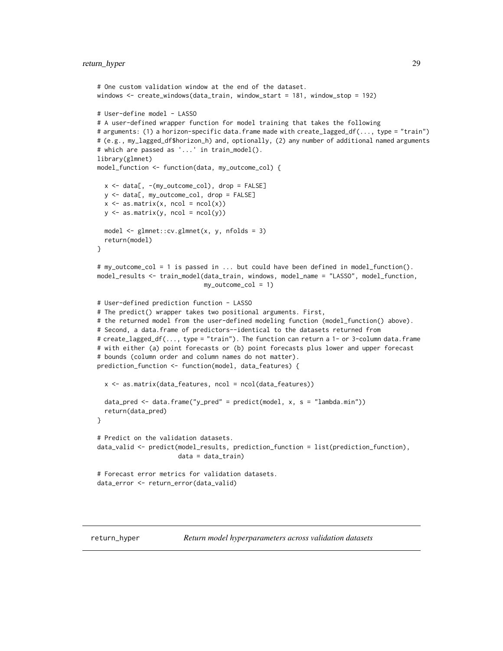# <span id="page-28-0"></span>return\_hyper 29

```
# One custom validation window at the end of the dataset.
windows <- create_windows(data_train, window_start = 181, window_stop = 192)
# User-define model - LASSO
# A user-defined wrapper function for model training that takes the following
# arguments: (1) a horizon-specific data.frame made with create_lagged_df(..., type = "train")
# (e.g., my_lagged_df$horizon_h) and, optionally, (2) any number of additional named arguments
# which are passed as '...' in train_model().
library(glmnet)
model_function <- function(data, my_outcome_col) {
 x \le - data[, -(my\_outcome\_col), drop = FALSE]
 y <- data[, my_outcome_col, drop = FALSE]
 x \leftarrow as.matrix(x, ncol = ncol(x))y \leftarrow \text{as_matrix}(y, \text{ ncol} = \text{ncol}(y))model <- glmnet::cv.glmnet(x, y, nfolds = 3)
 return(model)
}
# my_outcome_col = 1 is passed in ... but could have been defined in model_function().
model_results <- train_model(data_train, windows, model_name = "LASSO", model_function,
                             my_outcome_col = 1)
# User-defined prediction function - LASSO
# The predict() wrapper takes two positional arguments. First,
# the returned model from the user-defined modeling function (model_function() above).
# Second, a data.frame of predictors--identical to the datasets returned from
# create_lagged_df(..., type = "train"). The function can return a 1- or 3-column data.frame
# with either (a) point forecasts or (b) point forecasts plus lower and upper forecast
# bounds (column order and column names do not matter).
prediction_function <- function(model, data_features) {
 x \leq -as.matrix(data_features, ncol = ncol(data_features))
 data_pred <- data.frame("y_pred" = predict(model, x, s = "lambda.min"))
 return(data_pred)
}
# Predict on the validation datasets.
data_valid <- predict(model_results, prediction_function = list(prediction_function),
                      data = data_train)
# Forecast error metrics for validation datasets.
data_error <- return_error(data_valid)
```
<span id="page-28-1"></span>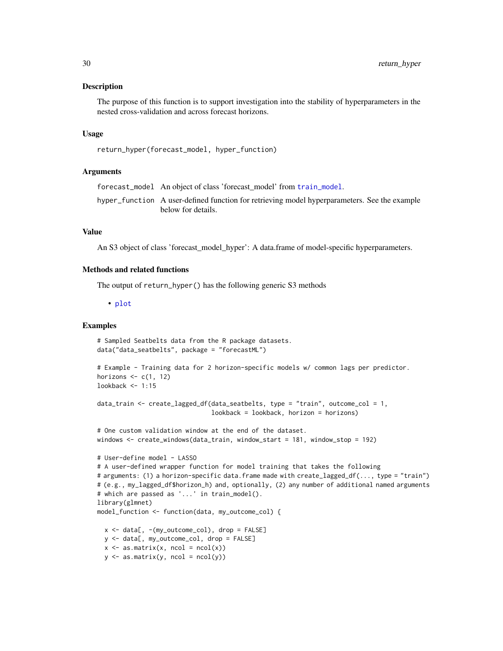#### <span id="page-29-0"></span>Description

The purpose of this function is to support investigation into the stability of hyperparameters in the nested cross-validation and across forecast horizons.

#### Usage

```
return_hyper(forecast_model, hyper_function)
```
#### Arguments

forecast\_model An object of class 'forecast\_model' from [train\\_model](#page-31-1).

hyper\_function A user-defined function for retrieving model hyperparameters. See the example below for details.

#### Value

An S3 object of class 'forecast\_model\_hyper': A data.frame of model-specific hyperparameters.

# Methods and related functions

The output of return\_hyper() has the following generic S3 methods

• [plot](#page-15-1)

```
# Sampled Seatbelts data from the R package datasets.
data("data_seatbelts", package = "forecastML")
# Example - Training data for 2 horizon-specific models w/ common lags per predictor.
horizons \leq c(1, 12)
lookback \leq -1:15data_train <- create_lagged_df(data_seatbelts, type = "train", outcome_col = 1,
                                lookback = lookback, horizon = horizons)
# One custom validation window at the end of the dataset.
windows <- create_windows(data_train, window_start = 181, window_stop = 192)
# User-define model - LASSO
# A user-defined wrapper function for model training that takes the following
# arguments: (1) a horizon-specific data.frame made with create_lagged_df(..., type = "train")
# (e.g., my_lagged_df$horizon_h) and, optionally, (2) any number of additional named arguments
# which are passed as '...' in train_model().
library(glmnet)
model_function <- function(data, my_outcome_col) {
 x \le - data[, -(my\_outcome\_col), drop = FALSE]
 y <- data[, my_outcome_col, drop = FALSE]
 x \leftarrow as.matrix(x, ncol = ncol(x))y \leftarrow \text{as_matrix}(y, \text{ ncol} = \text{ncol}(y))
```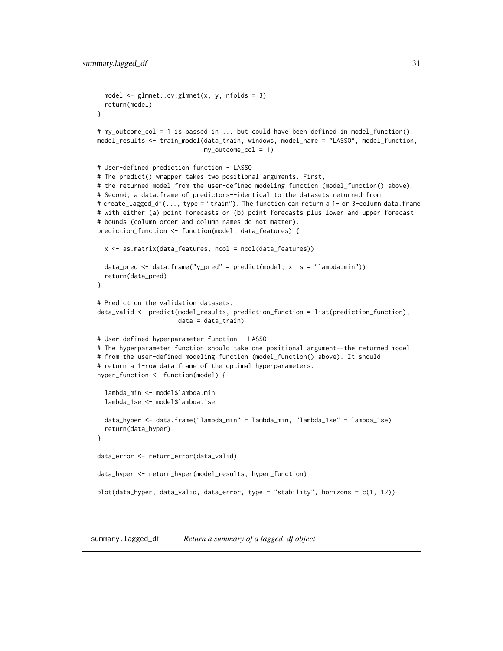```
model <- glmnet::cv.glmnet(x, y, nfolds = 3)
 return(model)
}
# my_outcome_col = 1 is passed in ... but could have been defined in model_function().
model_results <- train_model(data_train, windows, model_name = "LASSO", model_function,
                             my_outcome_col = 1)
# User-defined prediction function - LASSO
# The predict() wrapper takes two positional arguments. First,
# the returned model from the user-defined modeling function (model_function() above).
# Second, a data.frame of predictors--identical to the datasets returned from
# create_lagged_df(..., type = "train"). The function can return a 1- or 3-column data.frame
# with either (a) point forecasts or (b) point forecasts plus lower and upper forecast
# bounds (column order and column names do not matter).
prediction_function <- function(model, data_features) {
 x \le - as.matrix(data_features, ncol = ncol(data_features))
 data_pred <- data.frame("y_pred" = predict(model, x, s = "lambda.min"))
 return(data_pred)
}
# Predict on the validation datasets.
data_valid <- predict(model_results, prediction_function = list(prediction_function),
                      data = data_train)
# User-defined hyperparameter function - LASSO
# The hyperparameter function should take one positional argument--the returned model
# from the user-defined modeling function (model_function() above). It should
# return a 1-row data.frame of the optimal hyperparameters.
hyper_function <- function(model) {
 lambda_min <- model$lambda.min
 lambda_1se <- model$lambda.1se
 data_hyper <- data.frame("lambda_min" = lambda_min, "lambda_1se" = lambda_1se)
 return(data_hyper)
}
data_error <- return_error(data_valid)
data_hyper <- return_hyper(model_results, hyper_function)
plot(data_hyper, data_valid, data_error, type = "stability", horizons = c(1, 12))
```
<span id="page-30-1"></span>summary.lagged\_df *Return a summary of a lagged\_df object*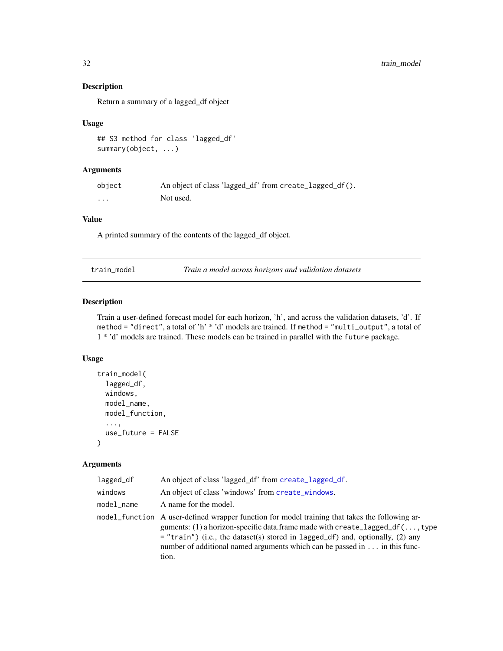# Description

Return a summary of a lagged\_df object

#### Usage

```
## S3 method for class 'lagged_df'
summary(object, ...)
```
# Arguments

| object   | An object of class 'lagged_df' from create_lagged_df(). |
|----------|---------------------------------------------------------|
| $\cdots$ | Not used.                                               |

#### Value

A printed summary of the contents of the lagged\_df object.

<span id="page-31-1"></span>

| Train a model across horizons and validation datasets<br>train model |
|----------------------------------------------------------------------|
|----------------------------------------------------------------------|

# Description

Train a user-defined forecast model for each horizon, 'h', and across the validation datasets, 'd'. If method = "direct", a total of 'h' \* 'd' models are trained. If method = "multi\_output", a total of 1 \* 'd' models are trained. These models can be trained in parallel with the future package.

## Usage

```
train_model(
  lagged_df,
 windows,
 model_name,
 model_function,
  ...,
  use_future = FALSE
)
```
#### Arguments

| lagged_df  | An object of class 'lagged_df' from create_lagged_df.                                                                                                                                                                                                                                                                                                            |
|------------|------------------------------------------------------------------------------------------------------------------------------------------------------------------------------------------------------------------------------------------------------------------------------------------------------------------------------------------------------------------|
| windows    | An object of class 'windows' from create_windows.                                                                                                                                                                                                                                                                                                                |
| model name | A name for the model.                                                                                                                                                                                                                                                                                                                                            |
|            | model_function A user-defined wrapper function for model training that takes the following ar-<br>guments: (1) a horizon-specific data.frame made with create_lagged_df(, type<br>$=$ "train") (i.e., the dataset(s) stored in lagged_df) and, optionally, (2) any<br>number of additional named arguments which can be passed in $\dots$ in this func-<br>tion. |

<span id="page-31-0"></span>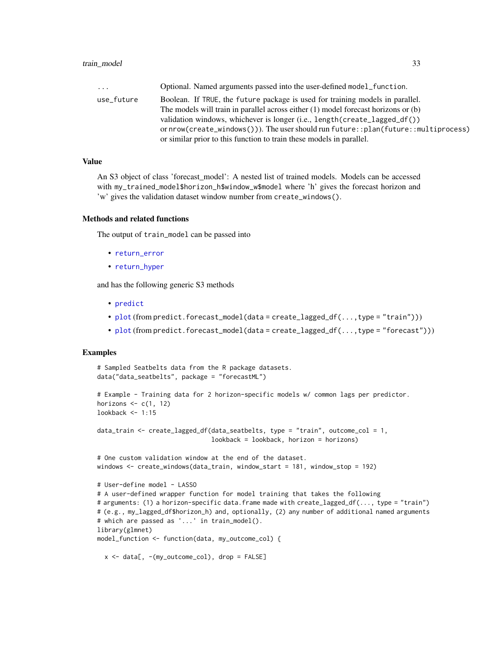<span id="page-32-0"></span>

| $\ddots$   | Optional. Named arguments passed into the user-defined model function.                     |
|------------|--------------------------------------------------------------------------------------------|
| use_future | Boolean. If TRUE, the future package is used for training models in parallel.              |
|            | The models will train in parallel across either $(1)$ model forecast horizons or $(b)$     |
|            | validation windows, whichever is longer (i.e., length (create_lagged_df())                 |
|            | or $nrow(createst\_windows())$ . The user should run future:: $plan(fature::multiprocess)$ |
|            | or similar prior to this function to train these models in parallel.                       |

#### Value

An S3 object of class 'forecast\_model': A nested list of trained models. Models can be accessed with my\_trained\_model\$horizon\_h\$window\_w\$model where 'h' gives the forecast horizon and 'w' gives the validation dataset window number from create\_windows().

#### Methods and related functions

The output of train\_model can be passed into

- [return\\_error](#page-26-1)
- [return\\_hyper](#page-28-1)

and has the following generic S3 methods

- [predict](#page-23-1)
- [plot](#page-20-1) (from predict.forecast\_model(data = create\_lagged\_df(...,type = "train")))
- [plot](#page-18-1) (from predict.forecast\_model(data = create\_lagged\_df(...,type = "forecast")))

```
# Sampled Seatbelts data from the R package datasets.
data("data_seatbelts", package = "forecastML")
# Example - Training data for 2 horizon-specific models w/ common lags per predictor.
horizons \leq c(1, 12)lookback <- 1:15
data_train <- create_lagged_df(data_seatbelts, type = "train", outcome_col = 1,
                               lookback = lookback, horizon = horizons)
# One custom validation window at the end of the dataset.
windows <- create_windows(data_train, window_start = 181, window_stop = 192)
# User-define model - LASSO
# A user-defined wrapper function for model training that takes the following
# arguments: (1) a horizon-specific data.frame made with create_lagged_df(..., type = "train")
# (e.g., my_lagged_df$horizon_h) and, optionally, (2) any number of additional named arguments
# which are passed as '...' in train_model().
library(glmnet)
model_function <- function(data, my_outcome_col) {
  x \le - data[, -(my\_outcome\_col), drop = FALSE]
```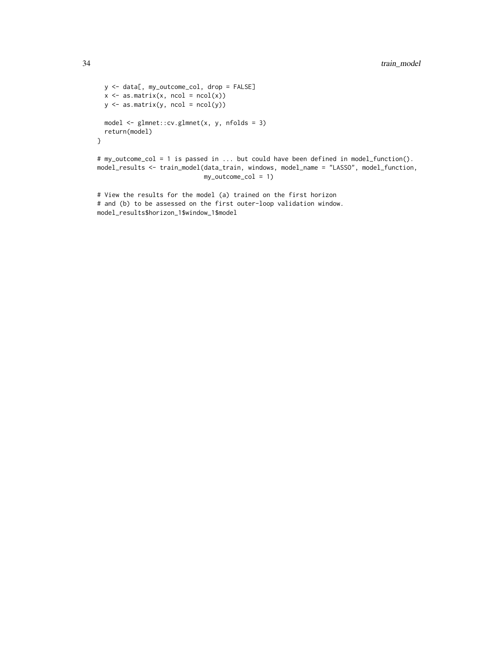```
y <- data[, my_outcome_col, drop = FALSE]
  x \leftarrow as.matrix(x, ncol = ncol(x))y \leftarrow \text{as_matrix}(y, \text{ ncol} = \text{ncol}(y))model <- glmnet::cv.glmnet(x, y, nfolds = 3)
  return(model)
}
# my_outcome_col = 1 is passed in ... but could have been defined in model_function().
model_results <- train_model(data_train, windows, model_name = "LASSO", model_function,
                               my_outcome_col = 1)
# View the results for the model (a) trained on the first horizon
```

```
# and (b) to be assessed on the first outer-loop validation window.
model_results$horizon_1$window_1$model
```